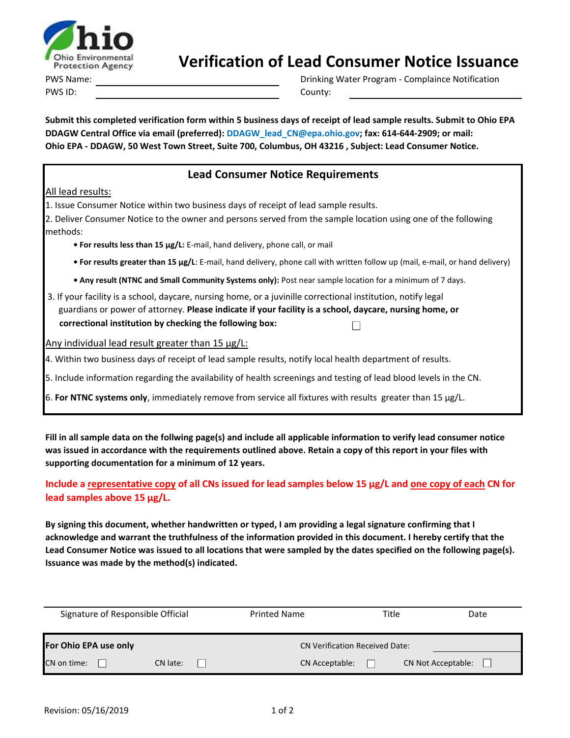

## **Verification of Lead Consumer Notice Issuance**

PWS Name: PWS ID: County:

Drinking Water Program - Complaince Notification

**Submit this completed verification form within 5 business days of receipt of lead sample results. Submit to Ohio EPA DDAGW Central Office via email (preferred): DDAGW\_lead\_CN@epa.ohio.gov; fax: 614-644-2909; or mail: Ohio EPA - DDAGW, 50 West Town Street, Suite 700, Columbus, OH 43216 , Subject: Lead Consumer Notice.**

## **Lead Consumer Notice Requirements**

## All lead results:

1. Issue Consumer Notice within two business days of receipt of lead sample results.

2. Deliver Consumer Notice to the owner and persons served from the sample location using one of the following methods:

**• For results less than 15 µg/L:** E-mail, hand delivery, phone call, or mail

**• For results greater than 15 µg/L**: E-mail, hand delivery, phone call with written follow up (mail, e-mail, or hand delivery)

**• Any result (NTNC and Small Community Systems only):** Post near sample location for a minimum of 7 days.

 3. If your facility is a school, daycare, nursing home, or a juvinille correctional institution, notify legal guardians or power of attorney. **Please indicate if your facility is a school, daycare, nursing home, or correctional institution by checking the following box:** П

Any individual lead result greater than 15 µg/L:

4. Within two business days of receipt of lead sample results, notify local health department of results.

5. Include information regarding the availability of health screenings and testing of lead blood levels in the CN.

6. **For NTNC systems only**, immediately remove from service all fixtures with results greater than 15 µg/L.

**Fill in all sample data on the follwing page(s) and include all applicable information to verify lead consumer notice was issued in accordance with the requirements outlined above. Retain a copy of this report in your files with supporting documentation for a minimum of 12 years.**

**Include a representative copy of all CNs issued for lead samples below 15 µg/L and one copy of each CN for lead samples above 15 µg/L.**

**By signing this document, whether handwritten or typed, I am providing a legal signature confirming that I acknowledge and warrant the truthfulness of the information provided in this document. I hereby certify that the Lead Consumer Notice was issued to all locations that were sampled by the dates specified on the following page(s). Issuance was made by the method(s) indicated.**

| Signature of Responsible Official |          | <b>Printed Name</b>                   |                | Title | Date                      |  |
|-----------------------------------|----------|---------------------------------------|----------------|-------|---------------------------|--|
| For Ohio EPA use only             |          | <b>CN Verification Received Date:</b> |                |       |                           |  |
| CN on time:                       | CN late: |                                       | CN Acceptable: |       | <b>CN Not Acceptable:</b> |  |